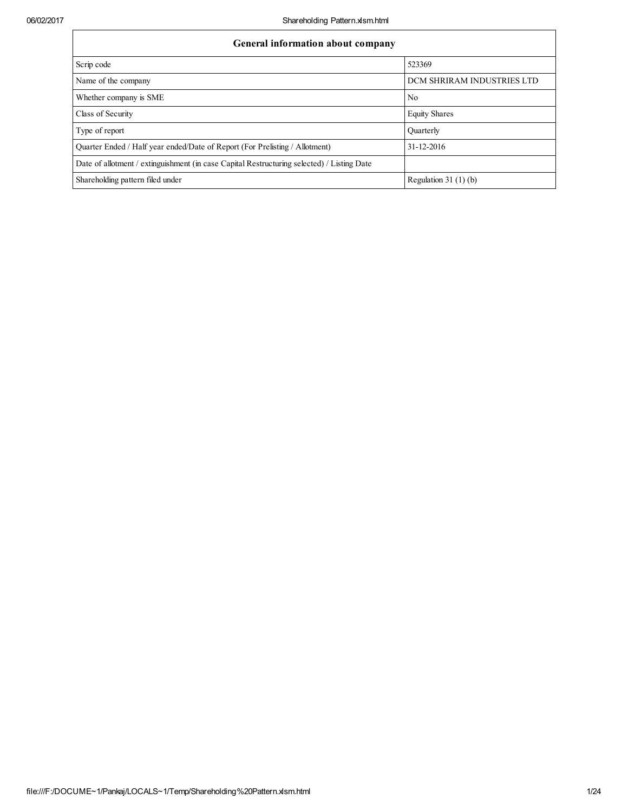| General information about company                                                          |                            |  |  |  |  |  |  |  |
|--------------------------------------------------------------------------------------------|----------------------------|--|--|--|--|--|--|--|
| Scrip code                                                                                 | 523369                     |  |  |  |  |  |  |  |
| Name of the company                                                                        | DCM SHRIRAM INDUSTRIES LTD |  |  |  |  |  |  |  |
| Whether company is SME                                                                     | N <sub>0</sub>             |  |  |  |  |  |  |  |
| Class of Security                                                                          | <b>Equity Shares</b>       |  |  |  |  |  |  |  |
| Type of report                                                                             | Ouarterly                  |  |  |  |  |  |  |  |
| Quarter Ended / Half year ended/Date of Report (For Prelisting / Allotment)                | 31-12-2016                 |  |  |  |  |  |  |  |
| Date of allotment / extinguishment (in case Capital Restructuring selected) / Listing Date |                            |  |  |  |  |  |  |  |
| Shareholding pattern filed under                                                           | Regulation 31 $(1)$ $(b)$  |  |  |  |  |  |  |  |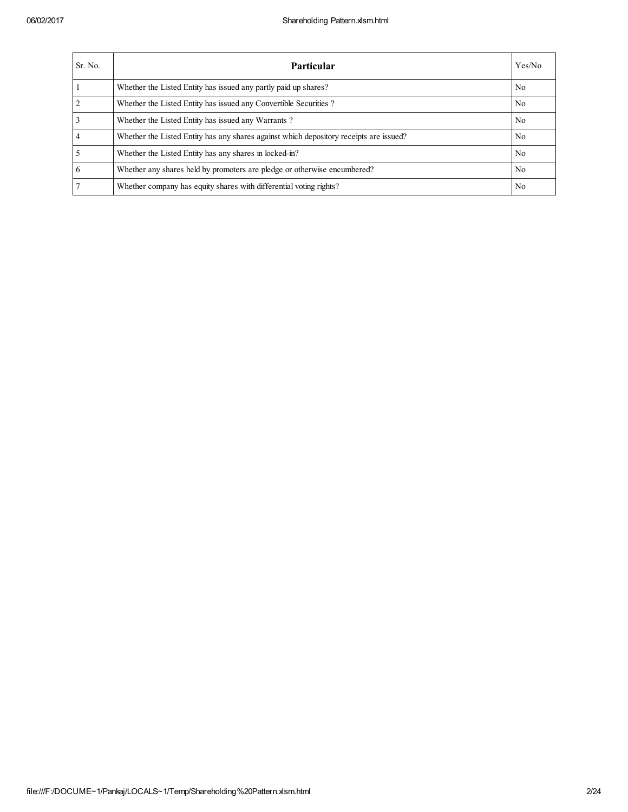| Sr. No.        | Particular                                                                             | Yes/No |
|----------------|----------------------------------------------------------------------------------------|--------|
|                | Whether the Listed Entity has issued any partly paid up shares?                        | No.    |
| $\overline{2}$ | Whether the Listed Entity has issued any Convertible Securities?                       | No.    |
| $\overline{3}$ | Whether the Listed Entity has issued any Warrants?                                     | No.    |
| $\overline{4}$ | Whether the Listed Entity has any shares against which depository receipts are issued? | No.    |
| $\overline{5}$ | Whether the Listed Entity has any shares in locked-in?                                 | No.    |
| 6              | Whether any shares held by promoters are pledge or otherwise encumbered?               | No.    |
| 7              | Whether company has equity shares with differential voting rights?                     | No.    |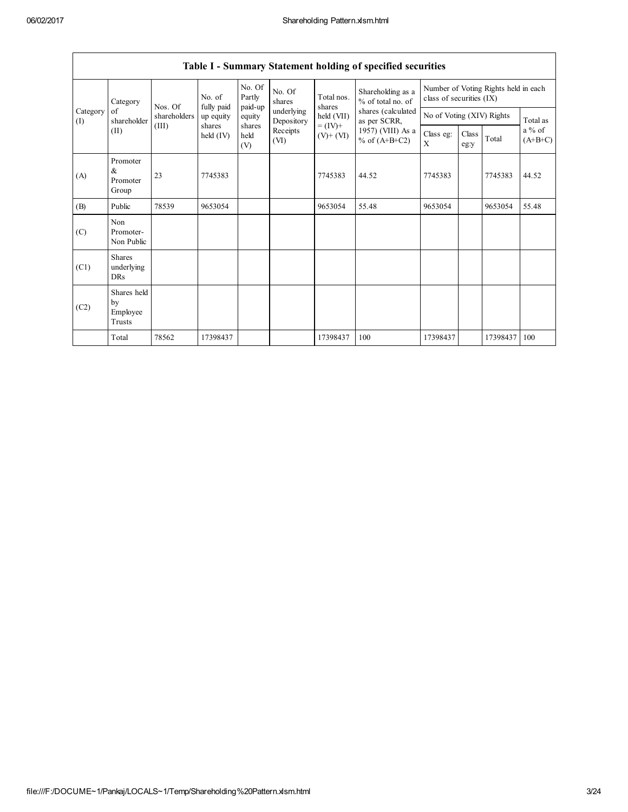| Table 1 - Summary Statement holding of specified securities |                                           |                                                                                                                    |                                      |                             |                          |                      |                                        |                                                                  |                           |          |          |  |
|-------------------------------------------------------------|-------------------------------------------|--------------------------------------------------------------------------------------------------------------------|--------------------------------------|-----------------------------|--------------------------|----------------------|----------------------------------------|------------------------------------------------------------------|---------------------------|----------|----------|--|
|                                                             | Category                                  | Nos. Of                                                                                                            | No. of<br>fully paid                 | No. Of<br>Partly<br>paid-up | No. Of<br>shares         | Total nos.<br>shares | Shareholding as a<br>% of total no. of | Number of Voting Rights held in each<br>class of securities (IX) |                           |          |          |  |
| Category<br>(I)                                             | of<br>shareholder                         | shareholders                                                                                                       | up equity                            | equity                      | underlying<br>Depository | held (VII)           | shares (calculated<br>as per SCRR,     |                                                                  | No of Voting (XIV) Rights |          | Total as |  |
|                                                             | (II)                                      | shares<br>shares<br>$= (IV) +$<br>(III)<br>Receipts<br>held<br>$\text{held (IV)}$<br>$(V)$ + $(VI)$<br>(VI)<br>(V) | 1957) (VIII) As a<br>% of $(A+B+C2)$ | Class eg:<br>$\mathbf{X}$   | Class<br>eg:y            | Total                | $a\%$ of<br>$(A+B+C)$                  |                                                                  |                           |          |          |  |
| (A)                                                         | Promoter<br>&<br>Promoter<br>Group        | 23                                                                                                                 | 7745383                              |                             |                          | 7745383              | 44.52                                  | 7745383                                                          |                           | 7745383  | 44.52    |  |
| (B)                                                         | Public                                    | 78539                                                                                                              | 9653054                              |                             |                          | 9653054              | 55.48                                  | 9653054                                                          |                           | 9653054  | 55.48    |  |
| (C)                                                         | Non<br>Promoter-<br>Non Public            |                                                                                                                    |                                      |                             |                          |                      |                                        |                                                                  |                           |          |          |  |
| (C1)                                                        | <b>Shares</b><br>underlying<br><b>DRs</b> |                                                                                                                    |                                      |                             |                          |                      |                                        |                                                                  |                           |          |          |  |
| (C2)                                                        | Shares held<br>by<br>Employee<br>Trusts   |                                                                                                                    |                                      |                             |                          |                      |                                        |                                                                  |                           |          |          |  |
|                                                             | Total                                     | 78562                                                                                                              | 17398437                             |                             |                          | 17398437             | 100                                    | 17398437                                                         |                           | 17398437 | 100      |  |

| Table I - Summary Statement holding of specified securities |  |  |  |
|-------------------------------------------------------------|--|--|--|
|                                                             |  |  |  |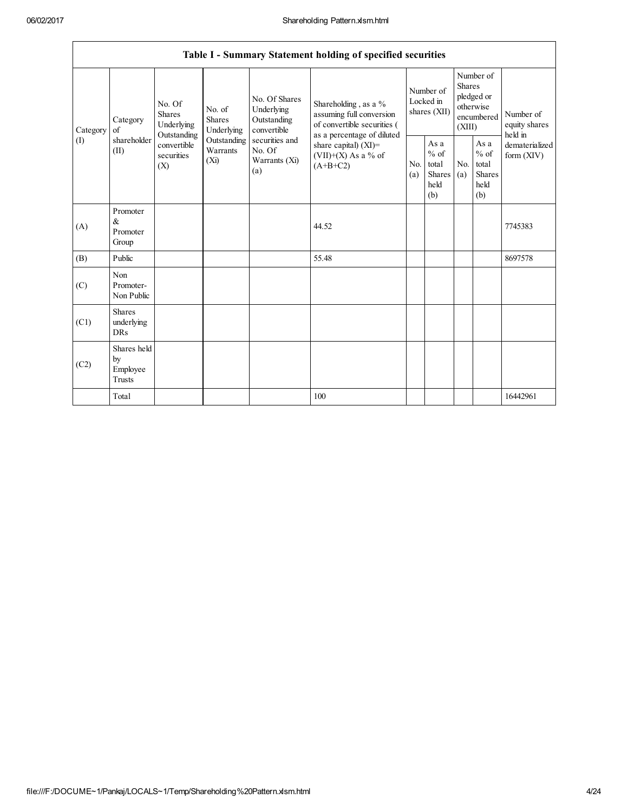|                | Table I - Summary Statement holding of specified securities |                                                 |                                                                                                                                                                                |                                                                                 |                                        |                                                         |                                                                               |                                                         |                                       |          |  |  |  |
|----------------|-------------------------------------------------------------|-------------------------------------------------|--------------------------------------------------------------------------------------------------------------------------------------------------------------------------------|---------------------------------------------------------------------------------|----------------------------------------|---------------------------------------------------------|-------------------------------------------------------------------------------|---------------------------------------------------------|---------------------------------------|----------|--|--|--|
| Category<br>of | No. Of<br><b>Shares</b><br>Category<br>Underlying           | No. of<br><b>Shares</b><br>Underlying           | No. Of Shares<br>Underlying<br>Outstanding<br>convertible                                                                                                                      | Shareholding, as a %<br>assuming full conversion<br>of convertible securities ( | Number of<br>Locked in<br>shares (XII) |                                                         | Number of<br><b>Shares</b><br>pledged or<br>otherwise<br>encumbered<br>(XIII) |                                                         | Number of<br>equity shares<br>held in |          |  |  |  |
| (1)            | shareholder<br>(II)                                         | Outstanding<br>convertible<br>securities<br>(X) | as a percentage of diluted<br>securities and<br>Outstanding<br>share capital) (XI)=<br>Warrants<br>No. Of<br>(VII)+(X) As a % of<br>(Xi)<br>Warrants (Xi)<br>$(A+B+C2)$<br>(a) |                                                                                 | N <sub>0</sub><br>(a)                  | As a<br>$%$ of<br>total<br><b>Shares</b><br>held<br>(b) | No.<br>(a)                                                                    | As a<br>$%$ of<br>total<br><b>Shares</b><br>held<br>(b) | dematerialized<br>form $(XIV)$        |          |  |  |  |
| (A)            | Promoter<br>$\&$<br>Promoter<br>Group                       |                                                 |                                                                                                                                                                                |                                                                                 | 44.52                                  |                                                         |                                                                               |                                                         |                                       | 7745383  |  |  |  |
| (B)            | Public                                                      |                                                 |                                                                                                                                                                                |                                                                                 | 55.48                                  |                                                         |                                                                               |                                                         |                                       | 8697578  |  |  |  |
| (C)            | Non<br>Promoter-<br>Non Public                              |                                                 |                                                                                                                                                                                |                                                                                 |                                        |                                                         |                                                                               |                                                         |                                       |          |  |  |  |
| (C1)           | <b>Shares</b><br>underlying<br><b>DRs</b>                   |                                                 |                                                                                                                                                                                |                                                                                 |                                        |                                                         |                                                                               |                                                         |                                       |          |  |  |  |
| (C2)           | Shares held<br>by<br>Employee<br>Trusts                     |                                                 |                                                                                                                                                                                |                                                                                 |                                        |                                                         |                                                                               |                                                         |                                       |          |  |  |  |
|                | Total                                                       |                                                 |                                                                                                                                                                                |                                                                                 | 100                                    |                                                         |                                                                               |                                                         |                                       | 16442961 |  |  |  |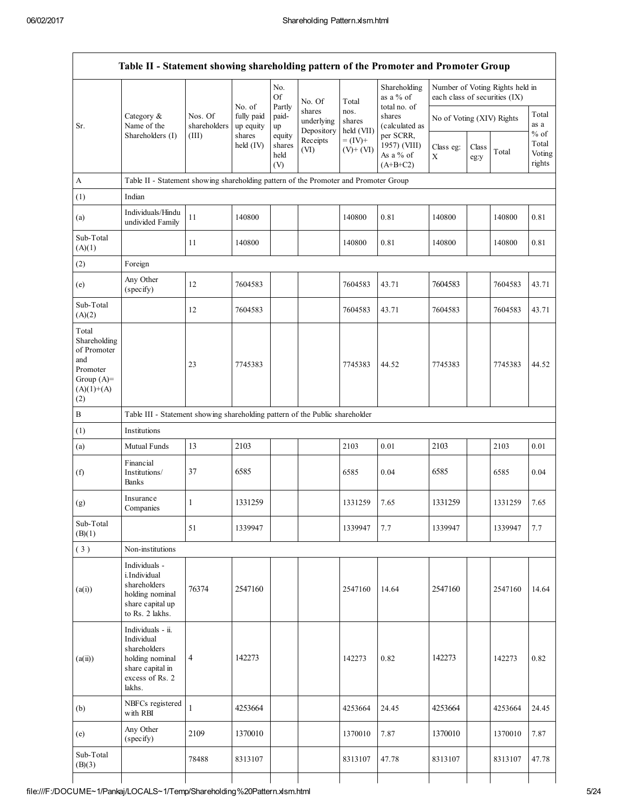$\Gamma$ 

|                                                                                                |                                                                                                                     |                                  |                                             | No.<br>Of                       | No. Of                                         | Total                                      | Shareholding<br>as a % of<br>total no. of |                           | Number of Voting Rights held in<br>each class of securities (IX) |         |                           |  |
|------------------------------------------------------------------------------------------------|---------------------------------------------------------------------------------------------------------------------|----------------------------------|---------------------------------------------|---------------------------------|------------------------------------------------|--------------------------------------------|-------------------------------------------|---------------------------|------------------------------------------------------------------|---------|---------------------------|--|
| Sr.                                                                                            | Category $\&$<br>Name of the<br>Shareholders (I)                                                                    | Nos. Of<br>shareholders<br>(III) | No. of<br>fully paid<br>up equity<br>shares | Partly<br>paid-<br>up<br>equity | shares<br>underlying<br>Depository<br>Receipts | nos.<br>shares<br>held (VII)<br>$= (IV) +$ | shares<br>(calculated as<br>per SCRR,     | No of Voting (XIV) Rights |                                                                  |         | Total<br>as a<br>$\%$ of  |  |
|                                                                                                |                                                                                                                     |                                  | held $(IV)$                                 | shares<br>held<br>(V)           | (VI)                                           | $(V)$ + $(VI)$                             | 1957) (VIII)<br>As a % of<br>$(A+B+C2)$   | Class eg:<br>$\mathbf X$  | Class<br>eg:y                                                    | Total   | Total<br>Voting<br>rights |  |
| A                                                                                              | Table II - Statement showing shareholding pattern of the Promoter and Promoter Group                                |                                  |                                             |                                 |                                                |                                            |                                           |                           |                                                                  |         |                           |  |
| (1)                                                                                            | Indian                                                                                                              |                                  |                                             |                                 |                                                |                                            |                                           |                           |                                                                  |         |                           |  |
| (a)                                                                                            | Individuals/Hindu<br>undivided Family                                                                               | 11                               | 140800                                      |                                 |                                                | 140800                                     | 0.81                                      | 140800                    |                                                                  | 140800  | 0.81                      |  |
| Sub-Total<br>(A)(1)                                                                            |                                                                                                                     | 11                               | 140800                                      |                                 |                                                | 140800                                     | 0.81                                      | 140800                    |                                                                  | 140800  | 0.81                      |  |
| (2)                                                                                            | Foreign                                                                                                             |                                  |                                             |                                 |                                                |                                            |                                           |                           |                                                                  |         |                           |  |
| (e)                                                                                            | Any Other<br>(specify)                                                                                              | 12                               | 7604583                                     |                                 |                                                | 7604583                                    | 43.71                                     | 7604583                   |                                                                  | 7604583 | 43.71                     |  |
| Sub-Total<br>(A)(2)                                                                            |                                                                                                                     | $12\,$                           | 7604583                                     |                                 |                                                | 7604583                                    | 43.71                                     | 7604583                   |                                                                  | 7604583 | 43.71                     |  |
| Total<br>Shareholding<br>of Promoter<br>and<br>Promoter<br>Group $(A)=$<br>$(A)(1)+(A)$<br>(2) |                                                                                                                     | 23                               | 7745383                                     |                                 |                                                | 7745383                                    | 44.52                                     | 7745383                   |                                                                  | 7745383 | 44.52                     |  |
| B                                                                                              | Table III - Statement showing shareholding pattern of the Public shareholder                                        |                                  |                                             |                                 |                                                |                                            |                                           |                           |                                                                  |         |                           |  |
| (1)                                                                                            | Institutions                                                                                                        |                                  |                                             |                                 |                                                |                                            |                                           |                           |                                                                  |         |                           |  |
| (a)                                                                                            | Mutual Funds                                                                                                        | 13                               | 2103                                        |                                 |                                                | 2103                                       | 0.01                                      | 2103                      |                                                                  | 2103    | $0.01\,$                  |  |
| (f)                                                                                            | Financial<br>Institutions/<br>Banks                                                                                 | 37                               | 6585                                        |                                 |                                                | 6585                                       | 0.04                                      | 6585                      |                                                                  | 6585    | 0.04                      |  |
| (g)                                                                                            | Insurance<br>Companies                                                                                              | 1                                | 1331259                                     |                                 |                                                | 1331259                                    | 7.65                                      | 1331259                   |                                                                  | 1331259 | 7.65                      |  |
| Sub-Total<br>(B)(1)                                                                            |                                                                                                                     | 51                               | 1339947                                     |                                 |                                                | 1339947                                    | 7.7                                       | 1339947                   |                                                                  | 1339947 | 7.7                       |  |
| (3)                                                                                            | Non-institutions                                                                                                    |                                  |                                             |                                 |                                                |                                            |                                           |                           |                                                                  |         |                           |  |
| (a(i))                                                                                         | Individuals -<br>i.Individual<br>shareholders<br>holding nominal<br>share capital up<br>to Rs. 2 lakhs.             | 76374                            | 2547160                                     |                                 |                                                | 2547160                                    | 14.64                                     | 2547160                   |                                                                  | 2547160 | 14.64                     |  |
| (a(ii))                                                                                        | Individuals - ii.<br>Individual<br>shareholders<br>holding nominal<br>share capital in<br>excess of Rs. 2<br>lakhs. | $\overline{4}$                   | 142273                                      |                                 |                                                | 142273                                     | 0.82                                      | 142273                    |                                                                  | 142273  | 0.82                      |  |
| (b)                                                                                            | NBFCs registered<br>with RBI                                                                                        |                                  | 4253664                                     |                                 |                                                | 4253664                                    | 24.45                                     | 4253664                   |                                                                  | 4253664 | 24.45                     |  |
| (e)                                                                                            | Any Other<br>(specify)                                                                                              | 2109                             | 1370010                                     |                                 |                                                | 1370010                                    | 7.87                                      | 1370010                   |                                                                  | 1370010 | 7.87                      |  |
| Sub-Total<br>(B)(3)                                                                            |                                                                                                                     | 78488                            | 8313107                                     |                                 |                                                | 8313107                                    | 47.78                                     | 8313107                   |                                                                  | 8313107 | 47.78                     |  |

٦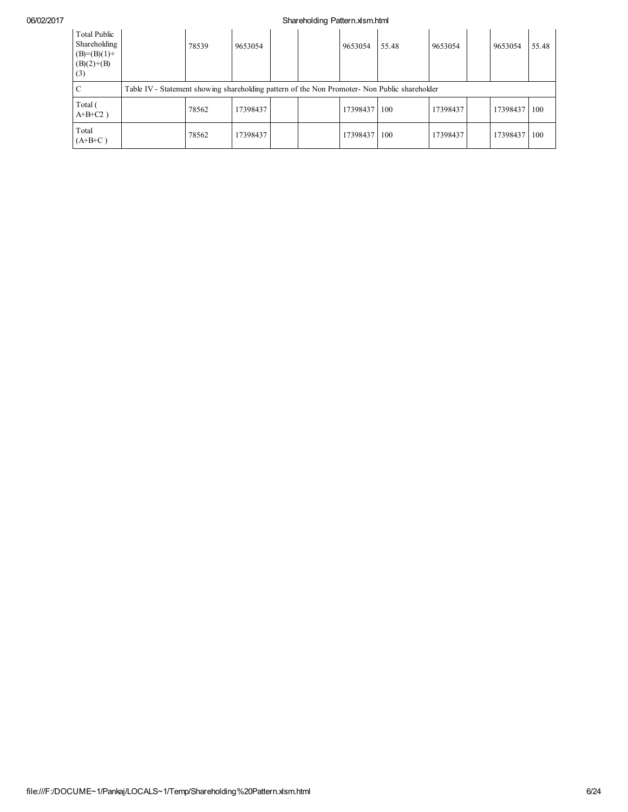| <b>Total Public</b><br>Shareholding<br>$(B)=(B)(1)+$<br>$(B)(2)+(B)$<br>(3) | 78539                                                                                         | 9653054  |  |  | 9653054  | 55.48 | 9653054  |  | 9653054  | 55.48      |
|-----------------------------------------------------------------------------|-----------------------------------------------------------------------------------------------|----------|--|--|----------|-------|----------|--|----------|------------|
|                                                                             | Table IV - Statement showing shareholding pattern of the Non Promoter- Non Public shareholder |          |  |  |          |       |          |  |          |            |
| Total (<br>$A+B+C2$ )                                                       | 78562                                                                                         | 17398437 |  |  | 17398437 | 100   | 17398437 |  | 17398437 | 100        |
| Total<br>$(A+B+C)$                                                          | 78562                                                                                         | 17398437 |  |  | 17398437 | 100   | 17398437 |  | 17398437 | <b>100</b> |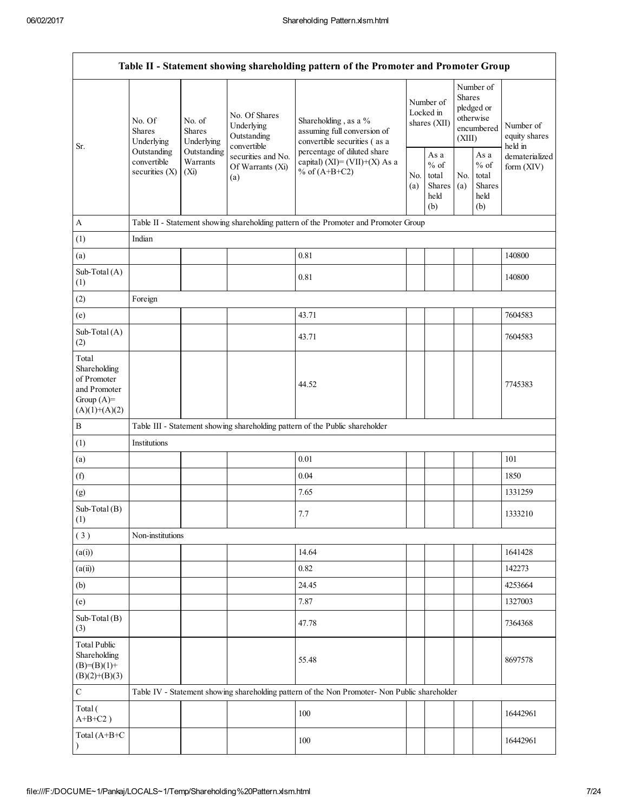|                                                                                         |                                                |                                                                                                                                                                           |                                                           | Table II - Statement showing shareholding pattern of the Promoter and Promoter Group          |                                                  |                                        |                                                            |                                                    |                                       |
|-----------------------------------------------------------------------------------------|------------------------------------------------|---------------------------------------------------------------------------------------------------------------------------------------------------------------------------|-----------------------------------------------------------|-----------------------------------------------------------------------------------------------|--------------------------------------------------|----------------------------------------|------------------------------------------------------------|----------------------------------------------------|---------------------------------------|
| Sr.                                                                                     | No. Of<br><b>Shares</b><br>Underlying          | No. of<br><b>Shares</b><br>Underlying                                                                                                                                     | No. Of Shares<br>Underlying<br>Outstanding<br>convertible | Shareholding, as a %<br>assuming full conversion of<br>convertible securities (as a           |                                                  | Number of<br>Locked in<br>shares (XII) | <b>Shares</b><br>(XIII)                                    | Number of<br>pledged or<br>otherwise<br>encumbered | Number of<br>equity shares<br>held in |
|                                                                                         | Outstanding<br>convertible<br>securities $(X)$ | Outstanding<br>percentage of diluted share<br>securities and No.<br>Warrants<br>capital) $(XI) = (VII)+(X) As a$<br>Of Warrants (Xi)<br>% of $(A+B+C2)$<br>$(X_i)$<br>(a) |                                                           | No.<br>(a)                                                                                    | As a<br>$%$ of<br>total<br>Shares<br>held<br>(b) | No.<br>(a)                             | As $\mathbf a$<br>$%$ of<br>total<br>Shares<br>held<br>(b) | dematerialized<br>form (XIV)                       |                                       |
| A                                                                                       |                                                |                                                                                                                                                                           |                                                           | Table II - Statement showing shareholding pattern of the Promoter and Promoter Group          |                                                  |                                        |                                                            |                                                    |                                       |
| (1)                                                                                     | Indian                                         |                                                                                                                                                                           |                                                           |                                                                                               |                                                  |                                        |                                                            |                                                    |                                       |
| (a)                                                                                     |                                                |                                                                                                                                                                           |                                                           | 0.81                                                                                          |                                                  |                                        |                                                            |                                                    | 140800                                |
| Sub-Total (A)<br>(1)                                                                    |                                                |                                                                                                                                                                           |                                                           | 0.81                                                                                          |                                                  |                                        |                                                            |                                                    | 140800                                |
| (2)                                                                                     | Foreign                                        |                                                                                                                                                                           |                                                           |                                                                                               |                                                  |                                        |                                                            |                                                    |                                       |
| (e)                                                                                     |                                                |                                                                                                                                                                           |                                                           | 43.71                                                                                         |                                                  |                                        |                                                            |                                                    | 7604583                               |
| Sub-Total (A)<br>(2)                                                                    |                                                |                                                                                                                                                                           |                                                           | 43.71                                                                                         |                                                  |                                        |                                                            |                                                    | 7604583                               |
| Total<br>Shareholding<br>of Promoter<br>and Promoter<br>Group $(A)=$<br>$(A)(1)+(A)(2)$ |                                                |                                                                                                                                                                           |                                                           | 44.52                                                                                         |                                                  |                                        |                                                            |                                                    | 7745383                               |
| B                                                                                       |                                                |                                                                                                                                                                           |                                                           | Table III - Statement showing shareholding pattern of the Public shareholder                  |                                                  |                                        |                                                            |                                                    |                                       |
| (1)                                                                                     | Institutions                                   |                                                                                                                                                                           |                                                           |                                                                                               |                                                  |                                        |                                                            |                                                    |                                       |
| (a)                                                                                     |                                                |                                                                                                                                                                           |                                                           | 0.01                                                                                          |                                                  |                                        |                                                            |                                                    | 101                                   |
| (f)                                                                                     |                                                |                                                                                                                                                                           |                                                           | 0.04                                                                                          |                                                  |                                        |                                                            |                                                    | 1850                                  |
| (g)                                                                                     |                                                |                                                                                                                                                                           |                                                           | 7.65                                                                                          |                                                  |                                        |                                                            |                                                    | 1331259                               |
| Sub-Total (B)<br>(1)                                                                    |                                                |                                                                                                                                                                           |                                                           | 7.7                                                                                           |                                                  |                                        |                                                            |                                                    | 1333210                               |
| (3)                                                                                     | Non-institutions                               |                                                                                                                                                                           |                                                           |                                                                                               |                                                  |                                        |                                                            |                                                    |                                       |
| (a(i))                                                                                  |                                                |                                                                                                                                                                           |                                                           | 14.64                                                                                         |                                                  |                                        |                                                            |                                                    | 1641428                               |
| (a(ii))                                                                                 |                                                |                                                                                                                                                                           |                                                           | 0.82                                                                                          |                                                  |                                        |                                                            |                                                    | 142273                                |
| (b)                                                                                     |                                                |                                                                                                                                                                           |                                                           | 24.45                                                                                         |                                                  |                                        |                                                            |                                                    | 4253664                               |
| (e)                                                                                     |                                                |                                                                                                                                                                           |                                                           | 7.87                                                                                          |                                                  |                                        |                                                            |                                                    | 1327003                               |
| Sub-Total (B)<br>(3)                                                                    |                                                |                                                                                                                                                                           |                                                           | 47.78                                                                                         |                                                  |                                        |                                                            |                                                    | 7364368                               |
| <b>Total Public</b><br>Shareholding<br>$(B)= (B)(1) +$<br>$(B)(2)+(B)(3)$               |                                                |                                                                                                                                                                           |                                                           | 55.48                                                                                         |                                                  |                                        |                                                            |                                                    | 8697578                               |
| $\mathbf C$                                                                             |                                                |                                                                                                                                                                           |                                                           | Table IV - Statement showing shareholding pattern of the Non Promoter- Non Public shareholder |                                                  |                                        |                                                            |                                                    |                                       |
| Total (<br>$A+B+C2$ )                                                                   |                                                |                                                                                                                                                                           |                                                           | 100                                                                                           |                                                  |                                        |                                                            |                                                    | 16442961                              |
| Total (A+B+C                                                                            |                                                |                                                                                                                                                                           |                                                           | 100                                                                                           |                                                  |                                        |                                                            |                                                    | 16442961                              |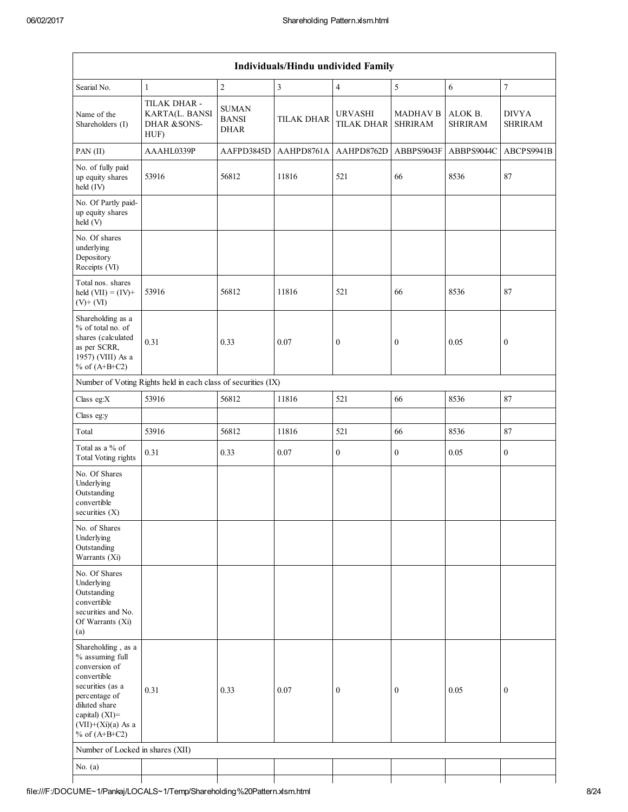| Individuals/Hindu undivided Family                                                                                                                                                          |                                                               |                                             |                   |                                     |                                   |                           |                                |  |  |  |  |
|---------------------------------------------------------------------------------------------------------------------------------------------------------------------------------------------|---------------------------------------------------------------|---------------------------------------------|-------------------|-------------------------------------|-----------------------------------|---------------------------|--------------------------------|--|--|--|--|
| Searial No.                                                                                                                                                                                 | $\mathbf{1}$                                                  | $\overline{c}$                              | $\sqrt{3}$        | $\overline{4}$                      | 5                                 | $\sqrt{6}$                | $\overline{7}$                 |  |  |  |  |
| Name of the<br>Shareholders (I)                                                                                                                                                             | TILAK DHAR -<br>KARTA(L. BANSI<br>DHAR &SONS-<br>HUF)         | <b>SUMAN</b><br><b>BANSI</b><br><b>DHAR</b> | <b>TILAK DHAR</b> | <b>URVASHI</b><br><b>TILAK DHAR</b> | <b>MADHAV B</b><br><b>SHRIRAM</b> | ALOK B.<br><b>SHRIRAM</b> | <b>DIVYA</b><br><b>SHRIRAM</b> |  |  |  |  |
| PAN (II)                                                                                                                                                                                    | AAAHL0339P                                                    | AAFPD3845D                                  | AAHPD8761A        | AAHPD8762D                          | ABBPS9043F                        | ABBPS9044C                | ABCPS9941B                     |  |  |  |  |
| No. of fully paid<br>up equity shares<br>held (IV)                                                                                                                                          | 53916                                                         | 56812                                       | 11816             | 521                                 | 66                                | 8536                      | 87                             |  |  |  |  |
| No. Of Partly paid-<br>up equity shares<br>held (V)                                                                                                                                         |                                                               |                                             |                   |                                     |                                   |                           |                                |  |  |  |  |
| No. Of shares<br>underlying<br>Depository<br>Receipts (VI)                                                                                                                                  |                                                               |                                             |                   |                                     |                                   |                           |                                |  |  |  |  |
| Total nos. shares<br>held $(VII) = (IV) +$<br>$(V)$ + $(VI)$                                                                                                                                | 53916                                                         | 56812                                       | 11816             | 521                                 | 66                                | 8536                      | 87                             |  |  |  |  |
| Shareholding as a<br>% of total no. of<br>shares (calculated<br>as per SCRR,<br>1957) (VIII) As a<br>% of $(A+B+C2)$                                                                        | 0.31                                                          | 0.33                                        | 0.07              | $\boldsymbol{0}$                    | $\boldsymbol{0}$                  | 0.05                      | $\boldsymbol{0}$               |  |  |  |  |
|                                                                                                                                                                                             | Number of Voting Rights held in each class of securities (IX) |                                             |                   |                                     |                                   |                           |                                |  |  |  |  |
| Class eg: $X$                                                                                                                                                                               | 53916                                                         | 56812                                       | 11816             | 521                                 | 66                                | 8536                      | $87\,$                         |  |  |  |  |
| Class eg:y                                                                                                                                                                                  |                                                               |                                             |                   |                                     |                                   |                           |                                |  |  |  |  |
| Total                                                                                                                                                                                       | 53916                                                         | 56812                                       | 11816             | 521                                 | 66                                | 8536                      | 87                             |  |  |  |  |
| Total as a % of<br><b>Total Voting rights</b>                                                                                                                                               | 0.31                                                          | 0.33                                        | 0.07              | $\boldsymbol{0}$                    | $\boldsymbol{0}$                  | 0.05                      | $\boldsymbol{0}$               |  |  |  |  |
| No. Of Shares<br>Underlying<br>Outstanding<br>convertible<br>securities $(X)$                                                                                                               |                                                               |                                             |                   |                                     |                                   |                           |                                |  |  |  |  |
| No. of Shares<br>Underlying<br>Outstanding<br>Warrants (Xi)                                                                                                                                 |                                                               |                                             |                   |                                     |                                   |                           |                                |  |  |  |  |
| No. Of Shares<br>Underlying<br>Outstanding<br>convertible<br>securities and No.<br>Of Warrants (Xi)<br>(a)                                                                                  |                                                               |                                             |                   |                                     |                                   |                           |                                |  |  |  |  |
| Shareholding, as a<br>% assuming full<br>conversion of<br>convertible<br>securities (as a<br>percentage of<br>diluted share<br>capital) $(XI)$ =<br>$(VII)+(Xi)(a)$ As a<br>% of $(A+B+C2)$ | 0.31                                                          | 0.33                                        | 0.07              | $\boldsymbol{0}$                    | $\boldsymbol{0}$                  | 0.05                      | $\boldsymbol{0}$               |  |  |  |  |
| Number of Locked in shares (XII)                                                                                                                                                            |                                                               |                                             |                   |                                     |                                   |                           |                                |  |  |  |  |
| No. $(a)$                                                                                                                                                                                   |                                                               |                                             |                   |                                     |                                   |                           |                                |  |  |  |  |
|                                                                                                                                                                                             |                                                               |                                             |                   |                                     |                                   |                           |                                |  |  |  |  |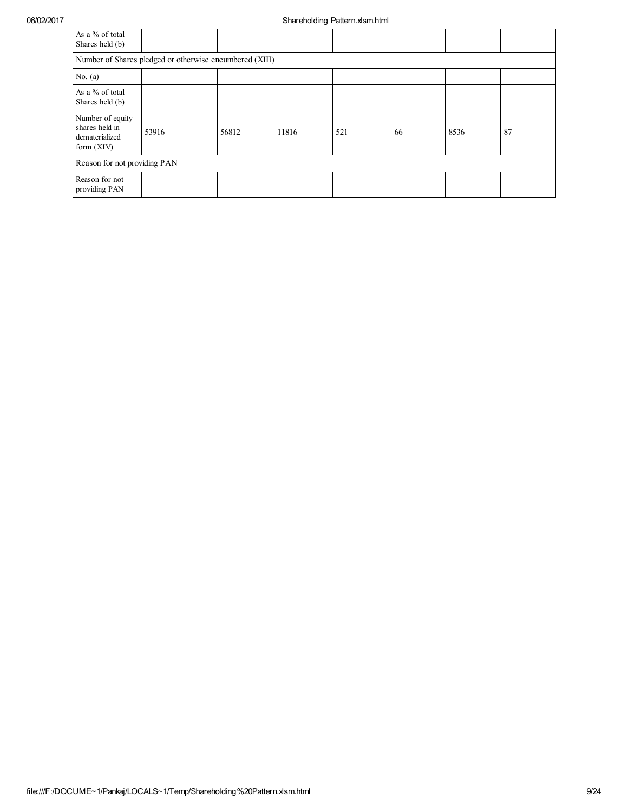| As a % of total<br>Shares held (b)                                   |                                                         |       |       |     |    |      |    |  |  |  |  |  |
|----------------------------------------------------------------------|---------------------------------------------------------|-------|-------|-----|----|------|----|--|--|--|--|--|
|                                                                      | Number of Shares pledged or otherwise encumbered (XIII) |       |       |     |    |      |    |  |  |  |  |  |
| No. $(a)$                                                            |                                                         |       |       |     |    |      |    |  |  |  |  |  |
| As a % of total<br>Shares held (b)                                   |                                                         |       |       |     |    |      |    |  |  |  |  |  |
| Number of equity<br>shares held in<br>dematerialized<br>form $(XIV)$ | 53916                                                   | 56812 | 11816 | 521 | 66 | 8536 | 87 |  |  |  |  |  |
| Reason for not providing PAN                                         |                                                         |       |       |     |    |      |    |  |  |  |  |  |
| Reason for not<br>providing PAN                                      |                                                         |       |       |     |    |      |    |  |  |  |  |  |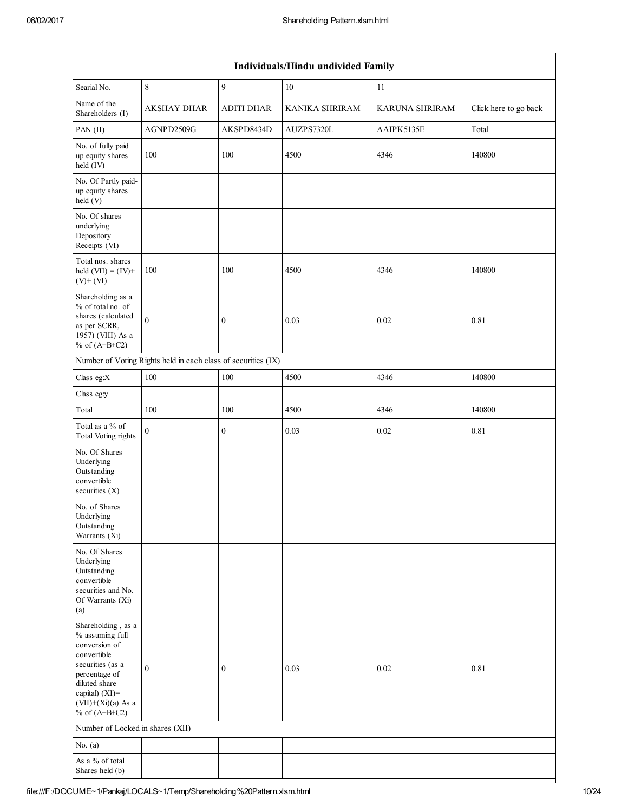| Individuals/Hindu undivided Family                                                                                                                                                       |                                                               |                   |                |                |                       |  |  |  |  |  |  |
|------------------------------------------------------------------------------------------------------------------------------------------------------------------------------------------|---------------------------------------------------------------|-------------------|----------------|----------------|-----------------------|--|--|--|--|--|--|
| Searial No.                                                                                                                                                                              | $\,$ 8 $\,$                                                   | 9                 | 10             | 11             |                       |  |  |  |  |  |  |
| Name of the<br>Shareholders (I)                                                                                                                                                          | <b>AKSHAY DHAR</b>                                            | <b>ADITI DHAR</b> | KANIKA SHRIRAM | KARUNA SHRIRAM | Click here to go back |  |  |  |  |  |  |
| PAN (II)                                                                                                                                                                                 | AGNPD2509G                                                    | AKSPD8434D        | AUZPS7320L     | AAIPK5135E     | Total                 |  |  |  |  |  |  |
| No. of fully paid<br>up equity shares<br>held (IV)                                                                                                                                       | 100                                                           | 100               | 4500           | 4346           | 140800                |  |  |  |  |  |  |
| No. Of Partly paid-<br>up equity shares<br>held (V)                                                                                                                                      |                                                               |                   |                |                |                       |  |  |  |  |  |  |
| No. Of shares<br>underlying<br>Depository<br>Receipts (VI)                                                                                                                               |                                                               |                   |                |                |                       |  |  |  |  |  |  |
| Total nos. shares<br>held $(VII) = (IV) +$<br>$(V)$ + $(VI)$                                                                                                                             | 100                                                           | 100               | 4500           | 4346           | 140800                |  |  |  |  |  |  |
| Shareholding as a<br>% of total no. of<br>shares (calculated<br>as per SCRR,<br>1957) (VIII) As a<br>% of $(A+B+C2)$                                                                     | $\mathbf{0}$                                                  | $\boldsymbol{0}$  | 0.03           | 0.02           | 0.81                  |  |  |  |  |  |  |
|                                                                                                                                                                                          | Number of Voting Rights held in each class of securities (IX) |                   |                |                |                       |  |  |  |  |  |  |
| Class eg:X                                                                                                                                                                               | 100                                                           | 100               | 4500           | 4346           | 140800                |  |  |  |  |  |  |
| Class eg:y                                                                                                                                                                               |                                                               |                   |                |                |                       |  |  |  |  |  |  |
| Total                                                                                                                                                                                    | 100                                                           | 100               | 4500           | 4346           | 140800                |  |  |  |  |  |  |
| Total as a % of<br><b>Total Voting rights</b>                                                                                                                                            | $\theta$                                                      | $\boldsymbol{0}$  | 0.03           | 0.02           | 0.81                  |  |  |  |  |  |  |
| No. Of Shares<br>Underlying<br>Outstanding<br>convertible<br>securities $(X)$                                                                                                            |                                                               |                   |                |                |                       |  |  |  |  |  |  |
| No. of Shares<br>Underlying<br>Outstanding<br>Warrants (Xi)                                                                                                                              |                                                               |                   |                |                |                       |  |  |  |  |  |  |
| No. Of Shares<br>Underlying<br>Outstanding<br>convertible<br>securities and No.<br>Of Warrants (Xi)<br>(a)                                                                               |                                                               |                   |                |                |                       |  |  |  |  |  |  |
| Shareholding, as a<br>% assuming full<br>conversion of<br>convertible<br>securities (as a<br>percentage of<br>diluted share<br>capital) (XI)=<br>$(VII)+(Xi)(a)$ As a<br>% of $(A+B+C2)$ | $\mathbf{0}$                                                  | $\boldsymbol{0}$  | 0.03           | 0.02           | 0.81                  |  |  |  |  |  |  |
| Number of Locked in shares (XII)                                                                                                                                                         |                                                               |                   |                |                |                       |  |  |  |  |  |  |
| No. $(a)$                                                                                                                                                                                |                                                               |                   |                |                |                       |  |  |  |  |  |  |
| As a % of total<br>Shares held (b)                                                                                                                                                       |                                                               |                   |                |                |                       |  |  |  |  |  |  |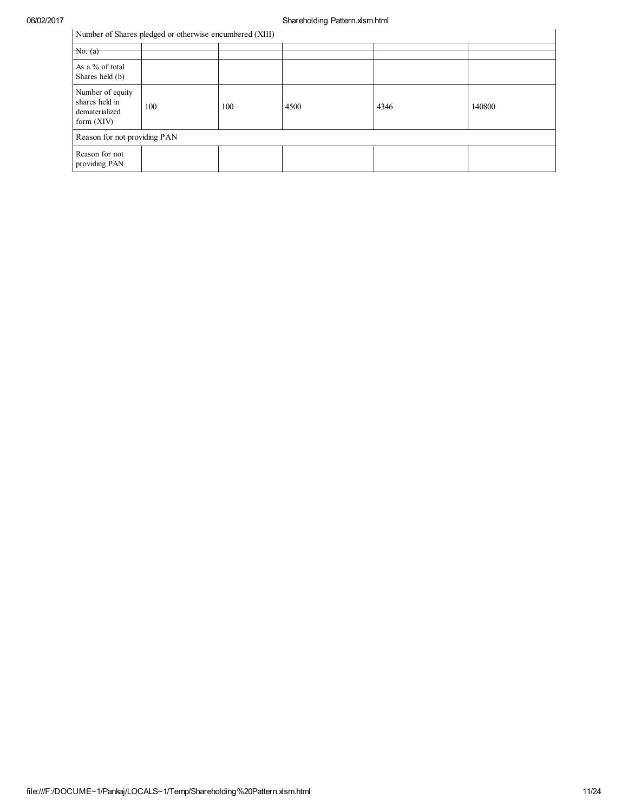| Number of Shares pledged or otherwise encumbered (XIII)              |     |     |      |      |        |  |  |  |  |  |
|----------------------------------------------------------------------|-----|-----|------|------|--------|--|--|--|--|--|
| $N\sigma$ . $(a)$                                                    |     |     |      |      |        |  |  |  |  |  |
| As a % of total<br>Shares held (b)                                   |     |     |      |      |        |  |  |  |  |  |
| Number of equity<br>shares held in<br>dematerialized<br>form $(XIV)$ | 100 | 100 | 4500 | 4346 | 140800 |  |  |  |  |  |
| Reason for not providing PAN                                         |     |     |      |      |        |  |  |  |  |  |
| Reason for not<br>providing PAN                                      |     |     |      |      |        |  |  |  |  |  |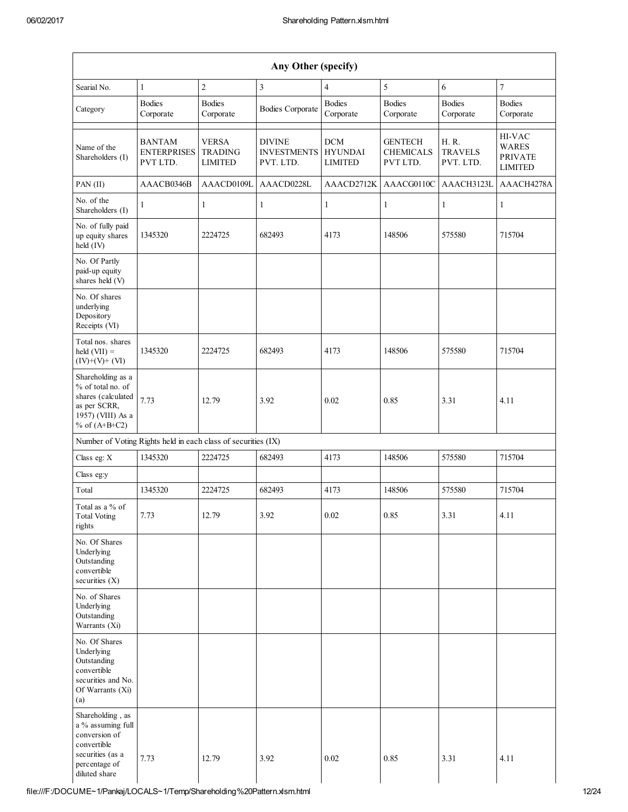| Any Other (specify)                                                                                                         |                                                 |                                                  |                                                  |                                                |                                                |                                      |                                                            |  |
|-----------------------------------------------------------------------------------------------------------------------------|-------------------------------------------------|--------------------------------------------------|--------------------------------------------------|------------------------------------------------|------------------------------------------------|--------------------------------------|------------------------------------------------------------|--|
| Searial No.                                                                                                                 | $\mathbf{1}$                                    | $\overline{c}$                                   | $\mathfrak{Z}$                                   | $\overline{4}$                                 | 5                                              | 6                                    | $\overline{7}$                                             |  |
| Category                                                                                                                    | <b>Bodies</b><br>Corporate                      | <b>Bodies</b><br>Corporate                       | <b>Bodies Corporate</b>                          | <b>Bodies</b><br>Corporate                     | <b>Bodies</b><br>Corporate                     | <b>Bodies</b><br>Corporate           | <b>Bodies</b><br>Corporate                                 |  |
| Name of the<br>Shareholders (I)                                                                                             | <b>BANTAM</b><br><b>ENTERPRISES</b><br>PVT LTD. | <b>VERSA</b><br><b>TRADING</b><br><b>LIMITED</b> | <b>DIVINE</b><br><b>INVESTMENTS</b><br>PVT. LTD. | <b>DCM</b><br><b>HYUNDAI</b><br><b>LIMITED</b> | <b>GENTECH</b><br><b>CHEMICALS</b><br>PVT LTD. | H. R.<br><b>TRAVELS</b><br>PVT. LTD. | HI-VAC<br><b>WARES</b><br><b>PRIVATE</b><br><b>LIMITED</b> |  |
| $PAN$ (II)                                                                                                                  | AAACB0346B                                      | AAACD0109L                                       | AAACD0228L                                       | AAACD2712K                                     | AAACG0110C                                     | AAACH3123L                           | AAACH4278A                                                 |  |
| No. of the<br>Shareholders (I)                                                                                              | 1                                               | $\mathbf{1}$                                     | 1                                                | $\mathbf{1}$                                   | $\mathbf{1}$                                   | $\mathbf{1}$                         | $\mathbf{1}$                                               |  |
| No. of fully paid<br>up equity shares<br>held (IV)                                                                          | 1345320                                         | 2224725                                          | 682493                                           | 4173                                           | 148506                                         | 575580                               | 715704                                                     |  |
| No. Of Partly<br>paid-up equity<br>shares held (V)                                                                          |                                                 |                                                  |                                                  |                                                |                                                |                                      |                                                            |  |
| No. Of shares<br>underlying<br>Depository<br>Receipts (VI)                                                                  |                                                 |                                                  |                                                  |                                                |                                                |                                      |                                                            |  |
| Total nos. shares<br>held $(VII) =$<br>$(IV)+(V)+(VI)$                                                                      | 1345320                                         | 2224725                                          | 682493                                           | 4173                                           | 148506                                         | 575580                               | 715704                                                     |  |
| Shareholding as a<br>% of total no. of<br>shares (calculated<br>as per SCRR,<br>1957) (VIII) As a<br>% of $(A+B+C2)$        | 7.73                                            | 12.79                                            | 3.92                                             | 0.02                                           | 0.85                                           | 3.31                                 | 4.11                                                       |  |
| Number of Voting Rights held in each class of securities (IX)                                                               |                                                 |                                                  |                                                  |                                                |                                                |                                      |                                                            |  |
| Class eg: X                                                                                                                 | 1345320                                         | 2224725                                          | 682493                                           | 4173                                           | 148506                                         | 575580                               | 715704                                                     |  |
| Class eg:y                                                                                                                  |                                                 |                                                  |                                                  |                                                |                                                |                                      |                                                            |  |
| Total                                                                                                                       | 1345320                                         | 2224725                                          | 682493                                           | 4173                                           | 148506                                         | 575580                               | 715704                                                     |  |
| Total as a % of<br><b>Total Voting</b><br>rights                                                                            | 7.73                                            | 12.79                                            | 3.92                                             | 0.02                                           | 0.85                                           | 3.31                                 | 4.11                                                       |  |
| No. Of Shares<br>Underlying<br>Outstanding<br>convertible<br>securities $(X)$                                               |                                                 |                                                  |                                                  |                                                |                                                |                                      |                                                            |  |
| No. of Shares<br>Underlying<br>Outstanding<br>Warrants (Xi)                                                                 |                                                 |                                                  |                                                  |                                                |                                                |                                      |                                                            |  |
| No. Of Shares<br>Underlying<br>Outstanding<br>convertible<br>securities and No.<br>Of Warrants (Xi)<br>(a)                  |                                                 |                                                  |                                                  |                                                |                                                |                                      |                                                            |  |
| Shareholding, as<br>a % assuming full<br>conversion of<br>convertible<br>securities (as a<br>percentage of<br>diluted share | 7.73                                            | 12.79                                            | 3.92                                             | 0.02                                           | 0.85                                           | 3.31                                 | 4.11                                                       |  |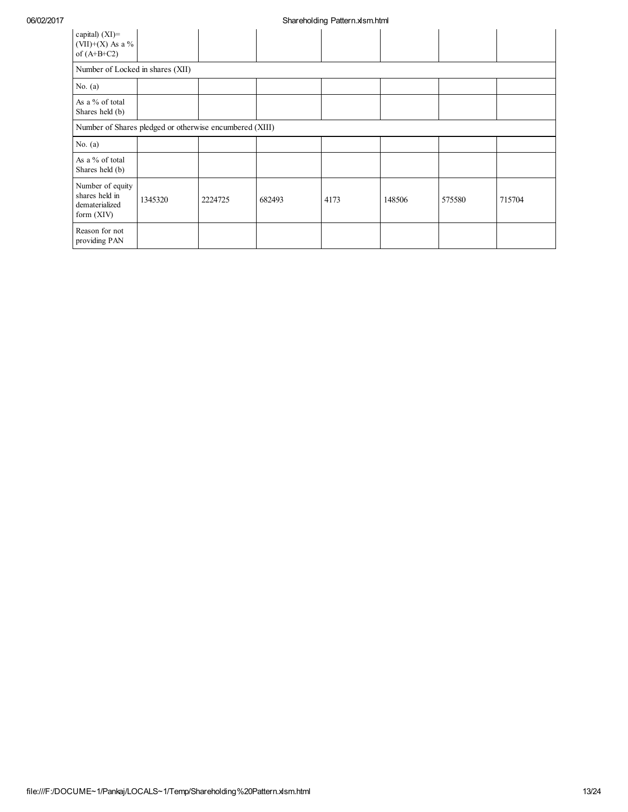| capital) $(XI)$ =<br>(VII)+(X) As a $%$<br>of $(A+B+C2)$             |         |         |        |      |        |        |        |
|----------------------------------------------------------------------|---------|---------|--------|------|--------|--------|--------|
| Number of Locked in shares (XII)                                     |         |         |        |      |        |        |        |
| No. $(a)$                                                            |         |         |        |      |        |        |        |
| As a % of total<br>Shares held (b)                                   |         |         |        |      |        |        |        |
| Number of Shares pledged or otherwise encumbered (XIII)              |         |         |        |      |        |        |        |
| No. $(a)$                                                            |         |         |        |      |        |        |        |
| As a % of total<br>Shares held (b)                                   |         |         |        |      |        |        |        |
| Number of equity<br>shares held in<br>dematerialized<br>form $(XIV)$ | 1345320 | 2224725 | 682493 | 4173 | 148506 | 575580 | 715704 |
| Reason for not<br>providing PAN                                      |         |         |        |      |        |        |        |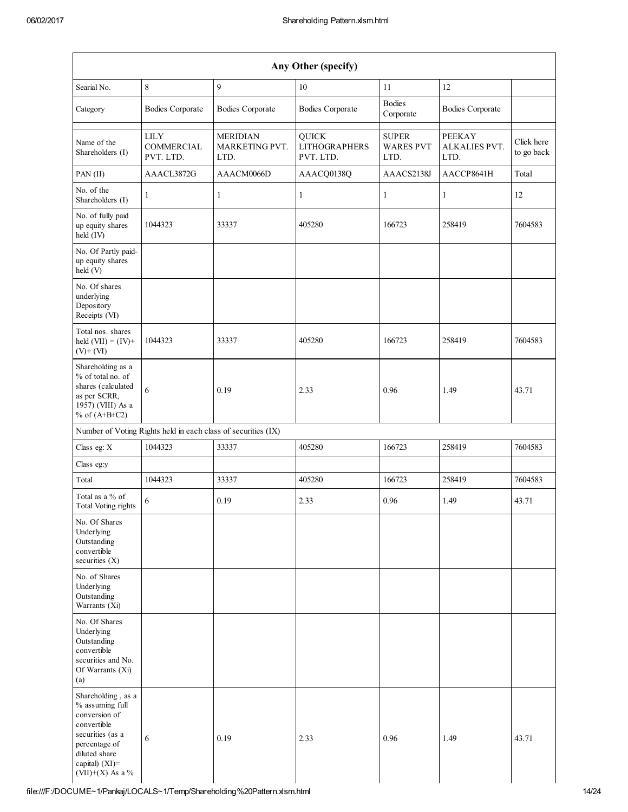| Any Other (specify)                                                                                                                                                  |                                                               |                                           |                                                   |                                          |                                        |                          |  |  |
|----------------------------------------------------------------------------------------------------------------------------------------------------------------------|---------------------------------------------------------------|-------------------------------------------|---------------------------------------------------|------------------------------------------|----------------------------------------|--------------------------|--|--|
| Searial No.                                                                                                                                                          | 8                                                             | $\mathbf{9}$                              | 10                                                | 11                                       | 12                                     |                          |  |  |
| Category                                                                                                                                                             | <b>Bodies Corporate</b>                                       | <b>Bodies Corporate</b>                   | <b>Bodies Corporate</b>                           | <b>Bodies</b><br>Corporate               | <b>Bodies Corporate</b>                |                          |  |  |
| Name of the<br>Shareholders (I)                                                                                                                                      | <b>LILY</b><br>COMMERCIAL<br>PVT. LTD.                        | <b>MERIDIAN</b><br>MARKETING PVT.<br>LTD. | <b>QUICK</b><br><b>LITHOGRAPHERS</b><br>PVT. LTD. | <b>SUPER</b><br><b>WARES PVT</b><br>LTD. | <b>PEEKAY</b><br>ALKALIES PVT.<br>LTD. | Click here<br>to go back |  |  |
| PAN (II)                                                                                                                                                             | AAACL3872G                                                    | AAACM0066D                                | AAACQ0138Q                                        | AAACS2138J                               | AACCP8641H                             | Total                    |  |  |
| No. of the<br>Shareholders (I)                                                                                                                                       | 1                                                             | 1                                         | 1                                                 | 1                                        | $\mathbf{1}$                           | 12                       |  |  |
| No. of fully paid<br>up equity shares<br>held (IV)                                                                                                                   | 1044323                                                       | 33337                                     | 405280                                            | 166723                                   | 258419                                 | 7604583                  |  |  |
| No. Of Partly paid-<br>up equity shares<br>held (V)                                                                                                                  |                                                               |                                           |                                                   |                                          |                                        |                          |  |  |
| No. Of shares<br>underlying<br>Depository<br>Receipts (VI)                                                                                                           |                                                               |                                           |                                                   |                                          |                                        |                          |  |  |
| Total nos. shares<br>held $(VII) = (IV) +$<br>$(V)$ + $(VI)$                                                                                                         | 1044323                                                       | 33337                                     | 405280                                            | 166723                                   | 258419                                 | 7604583                  |  |  |
| Shareholding as a<br>% of total no. of<br>shares (calculated<br>as per SCRR,<br>1957) (VIII) As a<br>% of $(A+B+C2)$                                                 | 6                                                             | 0.19                                      | 2.33                                              | 0.96                                     | 1.49                                   | 43.71                    |  |  |
|                                                                                                                                                                      | Number of Voting Rights held in each class of securities (IX) |                                           |                                                   |                                          |                                        |                          |  |  |
| Class eg: X                                                                                                                                                          | 1044323                                                       | 33337                                     | 405280                                            | 166723                                   | 258419                                 | 7604583                  |  |  |
| Class eg:y                                                                                                                                                           |                                                               |                                           |                                                   |                                          |                                        |                          |  |  |
| Total                                                                                                                                                                | 1044323                                                       | 33337                                     | 405280                                            | 166723                                   | 258419                                 | 7604583                  |  |  |
| Total as a % of<br>Total Voting rights                                                                                                                               | 6                                                             | 0.19                                      | 2.33                                              | 0.96                                     | 1.49                                   | 43.71                    |  |  |
| No. Of Shares<br>Underlying<br>Outstanding<br>convertible<br>securities $(X)$                                                                                        |                                                               |                                           |                                                   |                                          |                                        |                          |  |  |
| No. of Shares<br>Underlying<br>Outstanding<br>Warrants (Xi)                                                                                                          |                                                               |                                           |                                                   |                                          |                                        |                          |  |  |
| No. Of Shares<br>Underlying<br>Outstanding<br>convertible<br>securities and No.<br>Of Warrants (Xi)<br>(a)                                                           |                                                               |                                           |                                                   |                                          |                                        |                          |  |  |
| Shareholding, as a<br>% assuming full<br>conversion of<br>convertible<br>securities (as a<br>percentage of<br>diluted share<br>capital) $(XI)$ =<br>(VII)+(X) As a % | 6                                                             | 0.19                                      | 2.33                                              | 0.96                                     | 1.49                                   | 43.71                    |  |  |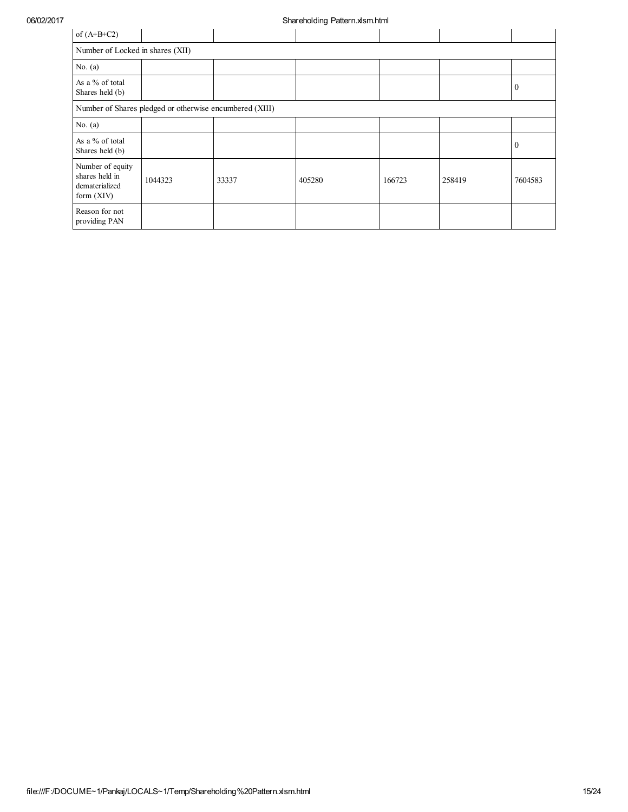| of $(A+B+C2)$                                                        |                                                         |       |        |        |        |          |  |  |  |  |
|----------------------------------------------------------------------|---------------------------------------------------------|-------|--------|--------|--------|----------|--|--|--|--|
|                                                                      | Number of Locked in shares (XII)                        |       |        |        |        |          |  |  |  |  |
| No. $(a)$                                                            |                                                         |       |        |        |        |          |  |  |  |  |
| As a % of total<br>Shares held (b)                                   |                                                         |       |        |        |        | $\theta$ |  |  |  |  |
|                                                                      | Number of Shares pledged or otherwise encumbered (XIII) |       |        |        |        |          |  |  |  |  |
| No. $(a)$                                                            |                                                         |       |        |        |        |          |  |  |  |  |
| As a % of total<br>Shares held (b)                                   |                                                         |       |        |        |        | $\theta$ |  |  |  |  |
| Number of equity<br>shares held in<br>dematerialized<br>form $(XIV)$ | 1044323                                                 | 33337 | 405280 | 166723 | 258419 | 7604583  |  |  |  |  |
| Reason for not<br>providing PAN                                      |                                                         |       |        |        |        |          |  |  |  |  |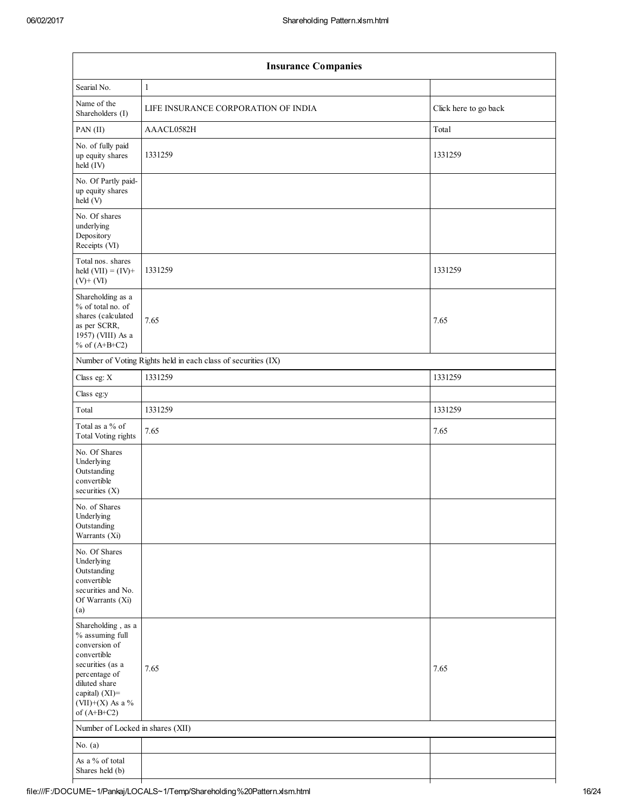| <b>Insurance Companies</b>                                                                                                                                                           |                                                               |                       |  |  |  |  |  |
|--------------------------------------------------------------------------------------------------------------------------------------------------------------------------------------|---------------------------------------------------------------|-----------------------|--|--|--|--|--|
| Searial No.                                                                                                                                                                          | $\mathbf{1}$                                                  |                       |  |  |  |  |  |
| Name of the<br>Shareholders (I)                                                                                                                                                      | LIFE INSURANCE CORPORATION OF INDIA                           | Click here to go back |  |  |  |  |  |
| PAN (II)                                                                                                                                                                             | AAACL0582H                                                    | Total                 |  |  |  |  |  |
| No. of fully paid<br>up equity shares<br>held (IV)                                                                                                                                   | 1331259                                                       | 1331259               |  |  |  |  |  |
| No. Of Partly paid-<br>up equity shares<br>held (V)                                                                                                                                  |                                                               |                       |  |  |  |  |  |
| No. Of shares<br>underlying<br>Depository<br>Receipts (VI)                                                                                                                           |                                                               |                       |  |  |  |  |  |
| Total nos. shares<br>held $(VII) = (IV) +$<br>$(V)$ + $(VI)$                                                                                                                         | 1331259                                                       | 1331259               |  |  |  |  |  |
| Shareholding as a<br>% of total no. of<br>shares (calculated<br>as per SCRR,<br>1957) (VIII) As a<br>% of $(A+B+C2)$                                                                 | 7.65                                                          | 7.65                  |  |  |  |  |  |
|                                                                                                                                                                                      | Number of Voting Rights held in each class of securities (IX) |                       |  |  |  |  |  |
| Class eg: X                                                                                                                                                                          | 1331259                                                       | 1331259               |  |  |  |  |  |
| Class eg:y                                                                                                                                                                           |                                                               |                       |  |  |  |  |  |
| Total                                                                                                                                                                                | 1331259                                                       | 1331259               |  |  |  |  |  |
| Total as a % of<br><b>Total Voting rights</b>                                                                                                                                        | 7.65                                                          | 7.65                  |  |  |  |  |  |
| No. Of Shares<br>Underlying<br>Outstanding<br>convertible<br>securities $(X)$                                                                                                        |                                                               |                       |  |  |  |  |  |
| No. of Shares<br>Underlying<br>Outstanding<br>Warrants (Xi)                                                                                                                          |                                                               |                       |  |  |  |  |  |
| No. Of Shares<br>Underlying<br>Outstanding<br>convertible<br>securities and No.<br>Of Warrants (Xi)<br>(a)                                                                           |                                                               |                       |  |  |  |  |  |
| Shareholding, as a<br>% assuming full<br>conversion of<br>convertible<br>securities (as a<br>percentage of<br>diluted share<br>capital) (XI)=<br>$(VII)+(X)$ As a %<br>of $(A+B+C2)$ | 7.65                                                          | 7.65                  |  |  |  |  |  |
| Number of Locked in shares (XII)                                                                                                                                                     |                                                               |                       |  |  |  |  |  |
| No. $(a)$                                                                                                                                                                            |                                                               |                       |  |  |  |  |  |
| As a % of total<br>Shares held (b)                                                                                                                                                   |                                                               |                       |  |  |  |  |  |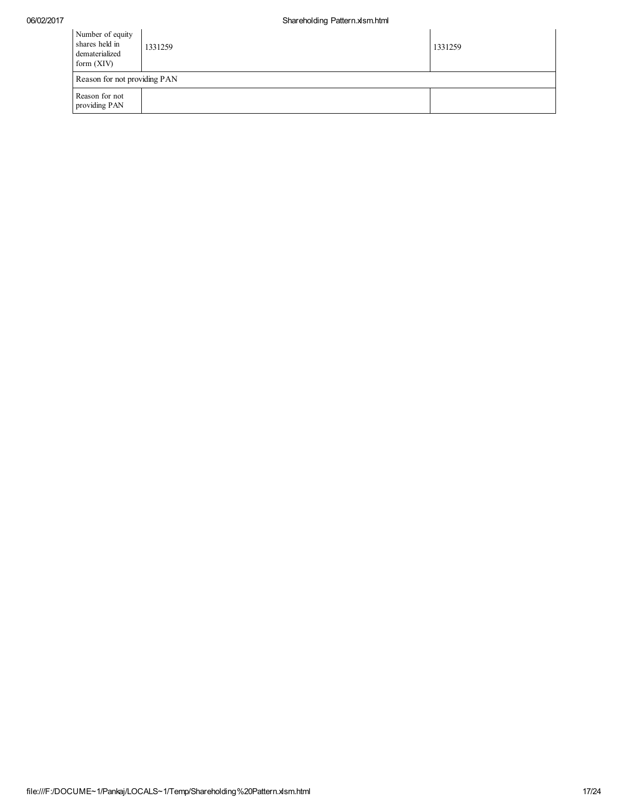| 06/02/2017 |                                                                      | Shareholding Pattern.xlsm.html |         |
|------------|----------------------------------------------------------------------|--------------------------------|---------|
|            | Number of equity<br>shares held in<br>dematerialized<br>form $(XIV)$ | 1331259                        | 1331259 |
|            | Reason for not providing PAN                                         |                                |         |
|            | Reason for not<br>providing PAN                                      |                                |         |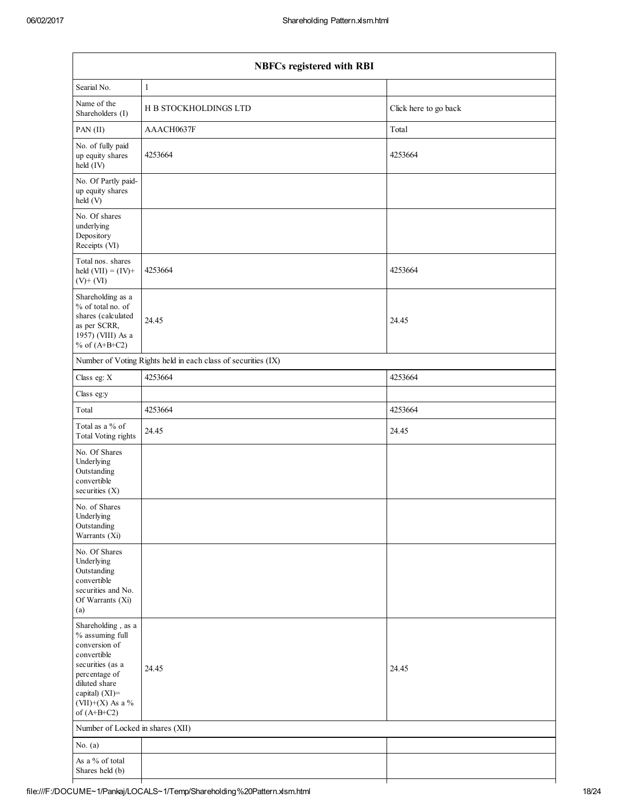| <b>NBFCs registered with RBI</b>                                                                                                                                                         |                                                               |                       |  |  |  |  |
|------------------------------------------------------------------------------------------------------------------------------------------------------------------------------------------|---------------------------------------------------------------|-----------------------|--|--|--|--|
| Searial No.                                                                                                                                                                              | $\mathbf{1}$                                                  |                       |  |  |  |  |
| Name of the<br>Shareholders (I)                                                                                                                                                          | H B STOCKHOLDINGS LTD                                         | Click here to go back |  |  |  |  |
| PAN (II)                                                                                                                                                                                 | AAACH0637F                                                    | Total                 |  |  |  |  |
| No. of fully paid<br>up equity shares<br>held (IV)                                                                                                                                       | 4253664                                                       | 4253664               |  |  |  |  |
| No. Of Partly paid-<br>up equity shares<br>held (V)                                                                                                                                      |                                                               |                       |  |  |  |  |
| No. Of shares<br>underlying<br>Depository<br>Receipts (VI)                                                                                                                               |                                                               |                       |  |  |  |  |
| Total nos. shares<br>held $(VII) = (IV) +$<br>$(V)$ + $(VI)$                                                                                                                             | 4253664                                                       | 4253664               |  |  |  |  |
| Shareholding as a<br>% of total no. of<br>shares (calculated<br>as per SCRR,<br>1957) (VIII) As a<br>% of $(A+B+C2)$                                                                     | 24.45                                                         | 24.45                 |  |  |  |  |
|                                                                                                                                                                                          | Number of Voting Rights held in each class of securities (IX) |                       |  |  |  |  |
| Class eg: X                                                                                                                                                                              | 4253664                                                       | 4253664               |  |  |  |  |
| Class eg:y                                                                                                                                                                               |                                                               |                       |  |  |  |  |
| Total                                                                                                                                                                                    | 4253664                                                       | 4253664               |  |  |  |  |
| Total as a % of<br><b>Total Voting rights</b>                                                                                                                                            | 24.45                                                         | 24.45                 |  |  |  |  |
| No. Of Shares<br>Underlying<br>Outstanding<br>convertible<br>securities $(X)$                                                                                                            |                                                               |                       |  |  |  |  |
| No. of Shares<br>Underlying<br>Outstanding<br>Warrants (Xi)                                                                                                                              |                                                               |                       |  |  |  |  |
| No. Of Shares<br>Underlying<br>Outstanding<br>convertible<br>securities and No.<br>Of Warrants (Xi)<br>(a)                                                                               |                                                               |                       |  |  |  |  |
| Shareholding, as a<br>$\%$ assuming full<br>conversion of<br>convertible<br>securities (as a<br>percentage of<br>diluted share<br>capital) $(XI)$ =<br>(VII)+(X) As a %<br>of $(A+B+C2)$ | 24.45                                                         | 24.45                 |  |  |  |  |
| Number of Locked in shares (XII)                                                                                                                                                         |                                                               |                       |  |  |  |  |
| No. $(a)$                                                                                                                                                                                |                                                               |                       |  |  |  |  |
| As a % of total<br>Shares held (b)                                                                                                                                                       |                                                               |                       |  |  |  |  |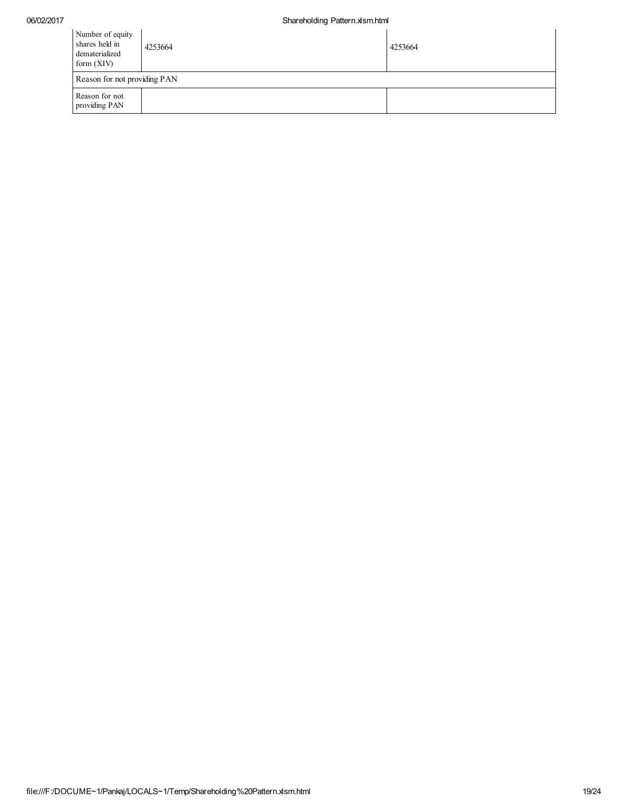| Number of equity<br>shares held in<br>dematerialized<br>form $(XIV)$ | 4253664                      | 4253664 |  |  |  |  |  |  |
|----------------------------------------------------------------------|------------------------------|---------|--|--|--|--|--|--|
|                                                                      | Reason for not providing PAN |         |  |  |  |  |  |  |
| Reason for not<br>providing PAN                                      |                              |         |  |  |  |  |  |  |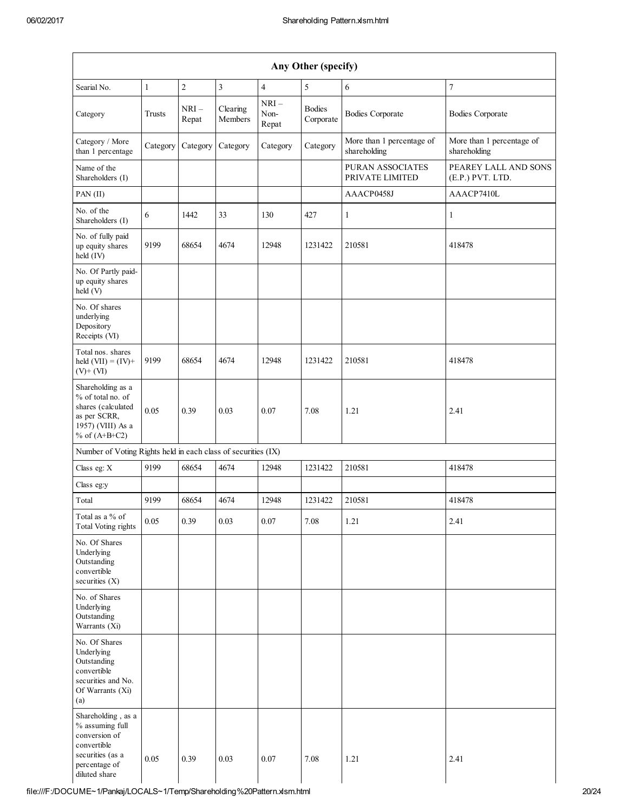|                                                                                                                             | Any Other (specify) |                 |                     |                         |                            |                                            |                                           |  |
|-----------------------------------------------------------------------------------------------------------------------------|---------------------|-----------------|---------------------|-------------------------|----------------------------|--------------------------------------------|-------------------------------------------|--|
| Searial No.                                                                                                                 | $\mathbf{1}$        | $\sqrt{2}$      | $\overline{3}$      | $\overline{4}$          | 5                          | 6                                          | $\overline{7}$                            |  |
| Category                                                                                                                    | Trusts              | $NRI-$<br>Repat | Clearing<br>Members | $NRI-$<br>Non-<br>Repat | <b>Bodies</b><br>Corporate | <b>Bodies Corporate</b>                    | <b>Bodies Corporate</b>                   |  |
| Category / More<br>than 1 percentage                                                                                        | Category            | Category        | Category            | Category                | Category                   | More than 1 percentage of<br>shareholding  | More than 1 percentage of<br>shareholding |  |
| Name of the<br>Shareholders (I)                                                                                             |                     |                 |                     |                         |                            | <b>PURAN ASSOCIATES</b><br>PRIVATE LIMITED | PEAREY LALL AND SONS<br>(E.P.) PVT. LTD.  |  |
| PAN (II)                                                                                                                    |                     |                 |                     |                         |                            | AAACP0458J                                 | AAACP7410L                                |  |
| No. of the<br>Shareholders (I)                                                                                              | 6                   | 1442            | 33                  | 130                     | 427                        | 1                                          | $\mathbf{1}$                              |  |
| No. of fully paid<br>up equity shares<br>held (IV)                                                                          | 9199                | 68654           | 4674                | 12948                   | 1231422                    | 210581                                     | 418478                                    |  |
| No. Of Partly paid-<br>up equity shares<br>held (V)                                                                         |                     |                 |                     |                         |                            |                                            |                                           |  |
| No. Of shares<br>underlying<br>Depository<br>Receipts (VI)                                                                  |                     |                 |                     |                         |                            |                                            |                                           |  |
| Total nos. shares<br>held $(VII) = (IV) +$<br>$(V)$ + $(VI)$                                                                | 9199                | 68654           | 4674                | 12948                   | 1231422                    | 210581                                     | 418478                                    |  |
| Shareholding as a<br>% of total no. of<br>shares (calculated<br>as per SCRR,<br>1957) (VIII) As a<br>% of $(A+B+C2)$        | 0.05                | 0.39            | 0.03                | 0.07                    | 7.08                       | 1.21                                       | 2.41                                      |  |
| Number of Voting Rights held in each class of securities (IX)                                                               |                     |                 |                     |                         |                            |                                            |                                           |  |
| Class eg: X                                                                                                                 | 9199                | 68654           | 4674                | 12948                   | 1231422                    | 210581                                     | 418478                                    |  |
| Class eg:y                                                                                                                  |                     |                 |                     |                         |                            |                                            |                                           |  |
| Total                                                                                                                       | 9199                | 68654           | 4674                | 12948                   | 1231422                    | 210581                                     | 418478                                    |  |
| Total as a % of<br><b>Total Voting rights</b>                                                                               | 0.05                | 0.39            | 0.03                | 0.07                    | 7.08                       | 1.21                                       | 2.41                                      |  |
| No. Of Shares<br>Underlying<br>Outstanding<br>convertible<br>securities $(X)$                                               |                     |                 |                     |                         |                            |                                            |                                           |  |
| No. of Shares<br>Underlying<br>Outstanding<br>Warrants (Xi)                                                                 |                     |                 |                     |                         |                            |                                            |                                           |  |
| No. Of Shares<br>Underlying<br>Outstanding<br>convertible<br>securities and No.<br>Of Warrants (Xi)<br>(a)                  |                     |                 |                     |                         |                            |                                            |                                           |  |
| Shareholding, as a<br>% assuming full<br>conversion of<br>convertible<br>securities (as a<br>percentage of<br>diluted share | 0.05                | 0.39            | 0.03                | 0.07                    | 7.08                       | 1.21                                       | 2.41                                      |  |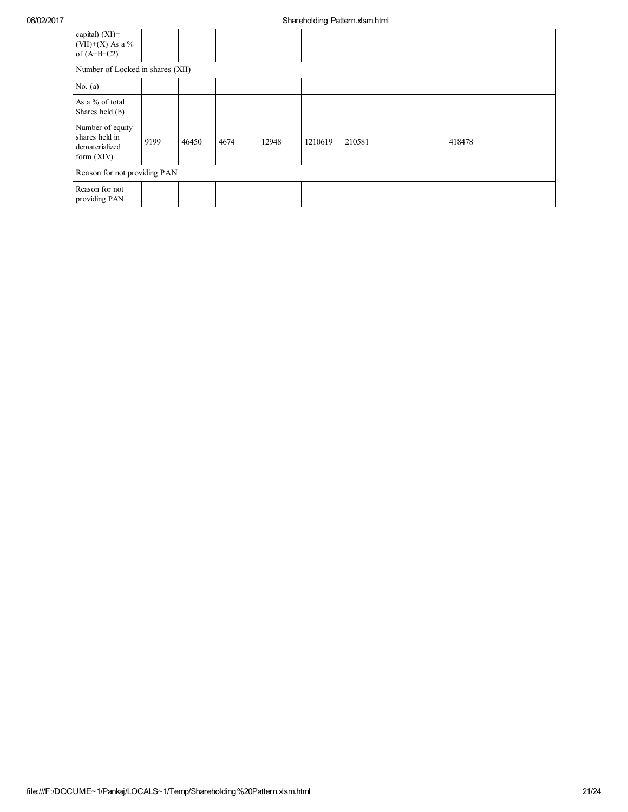| capital) $(XI)$ =<br>$(VII)+(X)$ As a %<br>of $(A+B+C2)$             |      |       |      |       |         |        |        |
|----------------------------------------------------------------------|------|-------|------|-------|---------|--------|--------|
| Number of Locked in shares (XII)                                     |      |       |      |       |         |        |        |
| No. $(a)$                                                            |      |       |      |       |         |        |        |
| As a % of total<br>Shares held (b)                                   |      |       |      |       |         |        |        |
| Number of equity<br>shares held in<br>dematerialized<br>form $(XIV)$ | 9199 | 46450 | 4674 | 12948 | 1210619 | 210581 | 418478 |
| Reason for not providing PAN                                         |      |       |      |       |         |        |        |
| Reason for not<br>providing PAN                                      |      |       |      |       |         |        |        |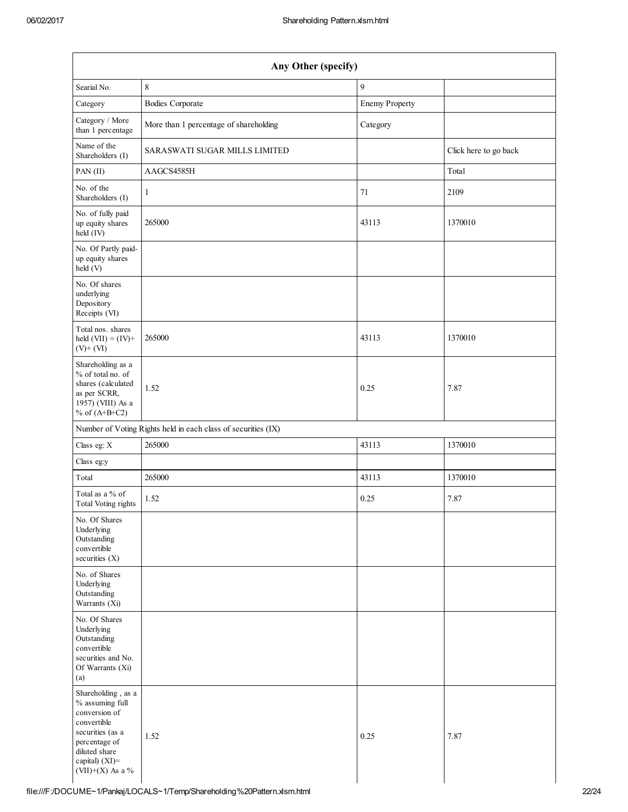| Any Other (specify)                                                                                                                                               |                                                               |                       |                       |  |  |  |  |
|-------------------------------------------------------------------------------------------------------------------------------------------------------------------|---------------------------------------------------------------|-----------------------|-----------------------|--|--|--|--|
| Searial No.                                                                                                                                                       | 8                                                             | $\mathbf{Q}$          |                       |  |  |  |  |
| Category                                                                                                                                                          | <b>Bodies Corporate</b>                                       | <b>Enemy Property</b> |                       |  |  |  |  |
| Category / More<br>than 1 percentage                                                                                                                              | More than 1 percentage of shareholding                        | Category              |                       |  |  |  |  |
| Name of the<br>Shareholders (I)                                                                                                                                   | SARASWATI SUGAR MILLS LIMITED                                 |                       | Click here to go back |  |  |  |  |
| PAN(II)                                                                                                                                                           | AAGCS4585H                                                    |                       | Total                 |  |  |  |  |
| No. of the<br>Shareholders (I)                                                                                                                                    | $\mathbf{1}$                                                  | 71                    | 2109                  |  |  |  |  |
| No. of fully paid<br>up equity shares<br>held (IV)                                                                                                                | 265000                                                        | 43113                 | 1370010               |  |  |  |  |
| No. Of Partly paid-<br>up equity shares<br>held(V)                                                                                                                |                                                               |                       |                       |  |  |  |  |
| No. Of shares<br>underlying<br>Depository<br>Receipts (VI)                                                                                                        |                                                               |                       |                       |  |  |  |  |
| Total nos. shares<br>held $(VII) = (IV) +$<br>$(V)$ + $(VI)$                                                                                                      | 265000                                                        | 43113                 | 1370010               |  |  |  |  |
| Shareholding as a<br>% of total no. of<br>shares (calculated<br>as per SCRR,<br>1957) (VIII) As a<br>% of $(A+B+C2)$                                              | 1.52                                                          | 0.25                  | 7.87                  |  |  |  |  |
|                                                                                                                                                                   | Number of Voting Rights held in each class of securities (IX) |                       |                       |  |  |  |  |
| Class eg: X                                                                                                                                                       | 265000                                                        | 43113                 | 1370010               |  |  |  |  |
| Class eg:y                                                                                                                                                        |                                                               |                       |                       |  |  |  |  |
| Total                                                                                                                                                             | 265000                                                        | 43113                 | 1370010               |  |  |  |  |
| Total as a % of<br>Total Voting rights                                                                                                                            | 1.52                                                          | 0.25                  | 7.87                  |  |  |  |  |
| No. Of Shares<br>Underlying<br>Outstanding<br>convertible<br>securities (X)                                                                                       |                                                               |                       |                       |  |  |  |  |
| No. of Shares<br>Underlying<br>Outstanding<br>Warrants (Xi)                                                                                                       |                                                               |                       |                       |  |  |  |  |
| No. Of Shares<br>Underlying<br>Outstanding<br>convertible<br>securities and No.<br>Of Warrants (Xi)<br>(a)                                                        |                                                               |                       |                       |  |  |  |  |
| Shareholding, as a<br>% assuming full<br>conversion of<br>convertible<br>securities (as a<br>percentage of<br>diluted share<br>capital) (XI)=<br>(VII)+(X) As a % | 1.52                                                          | 0.25                  | 7.87                  |  |  |  |  |